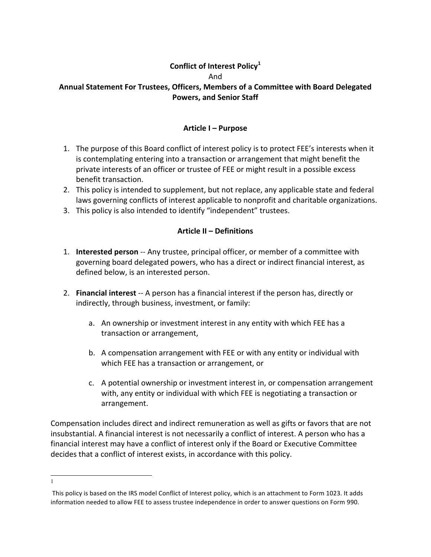## **Conflict of Interest Policy**<sup>1</sup> And Annual Statement For Trustees, Officers, Members of a Committee with Board Delegated **Powers, and Senior Staff**

#### **Article I – Purpose**

- 1. The purpose of this Board conflict of interest policy is to protect FEE's interests when it is contemplating entering into a transaction or arrangement that might benefit the private interests of an officer or trustee of FEE or might result in a possible excess benefit transaction.
- 2. This policy is intended to supplement, but not replace, any applicable state and federal laws governing conflicts of interest applicable to nonprofit and charitable organizations.
- 3. This policy is also intended to identify "independent" trustees.

#### **Article II – Definitions**

- 1. **Interested person** -- Any trustee, principal officer, or member of a committee with governing board delegated powers, who has a direct or indirect financial interest, as defined below, is an interested person.
- 2. **Financial interest** -- A person has a financial interest if the person has, directly or indirectly, through business, investment, or family:
	- a. An ownership or investment interest in any entity with which FEE has a transaction or arrangement,
	- b. A compensation arrangement with FEE or with any entity or individual with which FEE has a transaction or arrangement, or
	- c. A potential ownership or investment interest in, or compensation arrangement with, any entity or individual with which FEE is negotiating a transaction or arrangement.

Compensation includes direct and indirect remuneration as well as gifts or favors that are not insubstantial. A financial interest is not necessarily a conflict of interest. A person who has a financial interest may have a conflict of interest only if the Board or Executive Committee decides that a conflict of interest exists, in accordance with this policy.

<sup>1&</sup>lt;sup>1</sup>

This policy is based on the IRS model Conflict of Interest policy, which is an attachment to Form 1023. It adds information needed to allow FEE to assess trustee independence in order to answer questions on Form 990.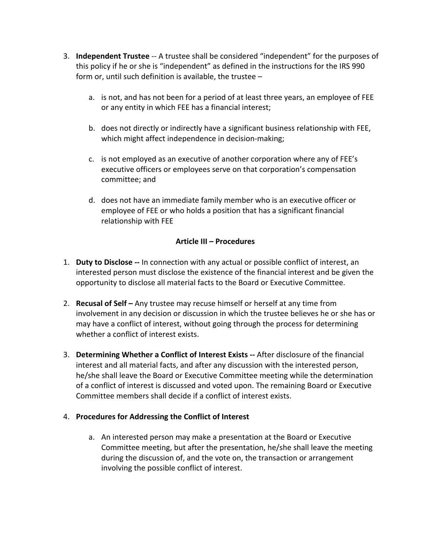- **3.** Independent Trustee -- A trustee shall be considered "independent" for the purposes of this policy if he or she is "independent" as defined in the instructions for the IRS 990 form or, until such definition is available, the trustee  $$ 
	- a. is not, and has not been for a period of at least three years, an employee of FEE or any entity in which FEE has a financial interest;
	- b. does not directly or indirectly have a significant business relationship with FEE, which might affect independence in decision-making;
	- c. is not employed as an executive of another corporation where any of FEE's executive officers or employees serve on that corporation's compensation committee; and
	- d. does not have an immediate family member who is an executive officer or employee of FEE or who holds a position that has a significant financial relationship with FEE

## **Article III – Procedures**

- 1. **Duty to Disclose** -- In connection with any actual or possible conflict of interest, an interested person must disclose the existence of the financial interest and be given the opportunity to disclose all material facts to the Board or Executive Committee.
- 2. **Recusal of Self** Any trustee may recuse himself or herself at any time from involvement in any decision or discussion in which the trustee believes he or she has or may have a conflict of interest, without going through the process for determining whether a conflict of interest exists.
- **3.** Determining Whether a Conflict of Interest Exists -- After disclosure of the financial interest and all material facts, and after any discussion with the interested person, he/she shall leave the Board or Executive Committee meeting while the determination of a conflict of interest is discussed and voted upon. The remaining Board or Executive Committee members shall decide if a conflict of interest exists.

## 4. Procedures for Addressing the Conflict of Interest

a. An interested person may make a presentation at the Board or Executive Committee meeting, but after the presentation, he/she shall leave the meeting during the discussion of, and the vote on, the transaction or arrangement involving the possible conflict of interest.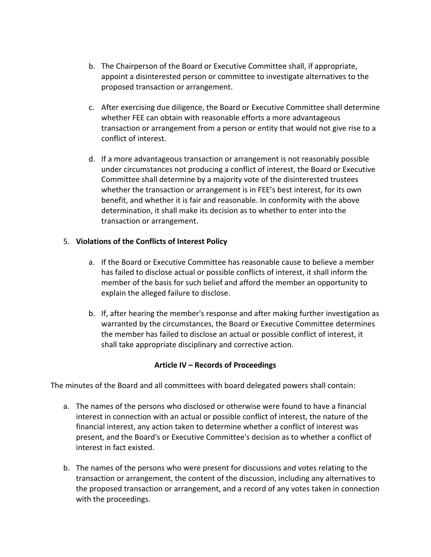- b. The Chairperson of the Board or Executive Committee shall, if appropriate, appoint a disinterested person or committee to investigate alternatives to the proposed transaction or arrangement.
- c. After exercising due diligence, the Board or Executive Committee shall determine whether FEE can obtain with reasonable efforts a more advantageous transaction or arrangement from a person or entity that would not give rise to a conflict of interest.
- d. If a more advantageous transaction or arrangement is not reasonably possible under circumstances not producing a conflict of interest, the Board or Executive Committee shall determine by a majority vote of the disinterested trustees whether the transaction or arrangement is in FEE's best interest, for its own benefit, and whether it is fair and reasonable. In conformity with the above determination, it shall make its decision as to whether to enter into the transaction or arrangement.

# 5. Violations of the Conflicts of Interest Policy

- a. If the Board or Executive Committee has reasonable cause to believe a member has failed to disclose actual or possible conflicts of interest, it shall inform the member of the basis for such belief and afford the member an opportunity to explain the alleged failure to disclose.
- b. If, after hearing the member's response and after making further investigation as warranted by the circumstances, the Board or Executive Committee determines the member has failed to disclose an actual or possible conflict of interest, it shall take appropriate disciplinary and corrective action.

## **Article IV – Records of Proceedings**

The minutes of the Board and all committees with board delegated powers shall contain:

- a. The names of the persons who disclosed or otherwise were found to have a financial interest in connection with an actual or possible conflict of interest, the nature of the financial interest, any action taken to determine whether a conflict of interest was present, and the Board's or Executive Committee's decision as to whether a conflict of interest in fact existed.
- b. The names of the persons who were present for discussions and votes relating to the transaction or arrangement, the content of the discussion, including any alternatives to the proposed transaction or arrangement, and a record of any votes taken in connection with the proceedings.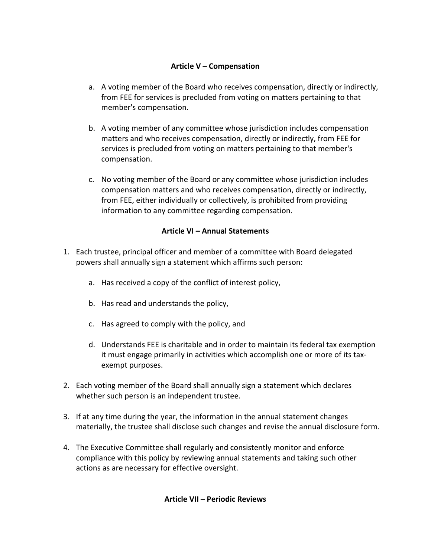#### **Article V – Compensation**

- a. A voting member of the Board who receives compensation, directly or indirectly, from FEE for services is precluded from voting on matters pertaining to that member's compensation.
- b. A voting member of any committee whose jurisdiction includes compensation matters and who receives compensation, directly or indirectly, from FEE for services is precluded from voting on matters pertaining to that member's compensation.
- c. No voting member of the Board or any committee whose jurisdiction includes compensation matters and who receives compensation, directly or indirectly, from FEE, either individually or collectively, is prohibited from providing information to any committee regarding compensation.

## **Article VI – Annual Statements**

- 1. Each trustee, principal officer and member of a committee with Board delegated powers shall annually sign a statement which affirms such person:
	- a. Has received a copy of the conflict of interest policy,
	- b. Has read and understands the policy,
	- c. Has agreed to comply with the policy, and
	- d. Understands FEE is charitable and in order to maintain its federal tax exemption it must engage primarily in activities which accomplish one or more of its taxexempt purposes.
- 2. Each voting member of the Board shall annually sign a statement which declares whether such person is an independent trustee.
- 3. If at any time during the year, the information in the annual statement changes materially, the trustee shall disclose such changes and revise the annual disclosure form.
- 4. The Executive Committee shall regularly and consistently monitor and enforce compliance with this policy by reviewing annual statements and taking such other actions as are necessary for effective oversight.

**Article VII – Periodic Reviews**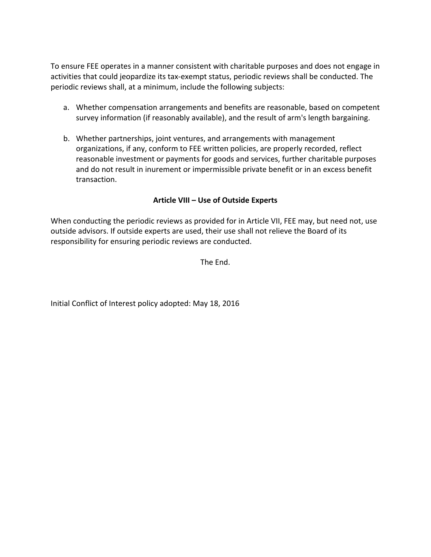To ensure FEE operates in a manner consistent with charitable purposes and does not engage in activities that could jeopardize its tax-exempt status, periodic reviews shall be conducted. The periodic reviews shall, at a minimum, include the following subjects:

- a. Whether compensation arrangements and benefits are reasonable, based on competent survey information (if reasonably available), and the result of arm's length bargaining.
- b. Whether partnerships, joint ventures, and arrangements with management organizations, if any, conform to FEE written policies, are properly recorded, reflect reasonable investment or payments for goods and services, further charitable purposes and do not result in inurement or impermissible private benefit or in an excess benefit transaction.

#### **Article VIII – Use of Outside Experts**

When conducting the periodic reviews as provided for in Article VII, FEE may, but need not, use outside advisors. If outside experts are used, their use shall not relieve the Board of its responsibility for ensuring periodic reviews are conducted.

The End.

Initial Conflict of Interest policy adopted: May 18, 2016